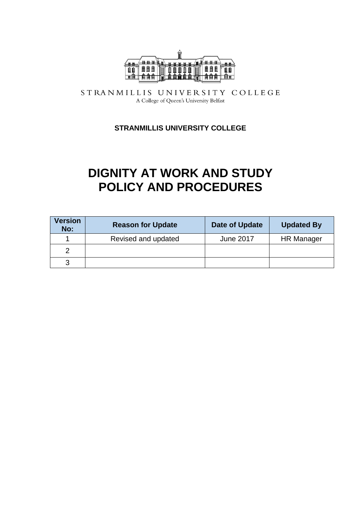

STRANMILLIS UNIVERSITY COLLEGE A College of Queen's University Belfast

**STRANMILLIS UNIVERSITY COLLEGE**

# **DIGNITY AT WORK AND STUDY POLICY AND PROCEDURES**

| <b>Version</b><br>No: | <b>Reason for Update</b> | Date of Update   | <b>Updated By</b> |
|-----------------------|--------------------------|------------------|-------------------|
|                       | Revised and updated      | <b>June 2017</b> | <b>HR Manager</b> |
| າ                     |                          |                  |                   |
| 3                     |                          |                  |                   |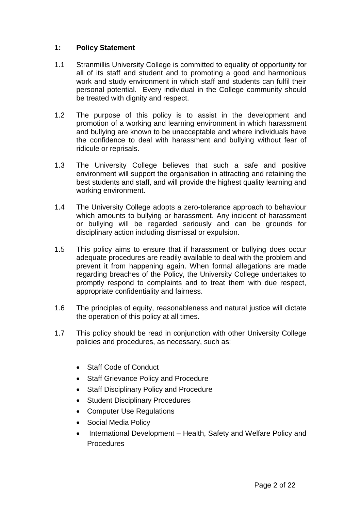#### **1: Policy Statement**

- 1.1 Stranmillis University College is committed to equality of opportunity for all of its staff and student and to promoting a good and harmonious work and study environment in which staff and students can fulfil their personal potential. Every individual in the College community should be treated with dignity and respect.
- 1.2 The purpose of this policy is to assist in the development and promotion of a working and learning environment in which harassment and bullying are known to be unacceptable and where individuals have the confidence to deal with harassment and bullying without fear of ridicule or reprisals.
- 1.3 The University College believes that such a safe and positive environment will support the organisation in attracting and retaining the best students and staff, and will provide the highest quality learning and working environment.
- 1.4 The University College adopts a zero-tolerance approach to behaviour which amounts to bullying or harassment. Any incident of harassment or bullying will be regarded seriously and can be grounds for disciplinary action including dismissal or expulsion.
- 1.5 This policy aims to ensure that if harassment or bullying does occur adequate procedures are readily available to deal with the problem and prevent it from happening again. When formal allegations are made regarding breaches of the Policy, the University College undertakes to promptly respond to complaints and to treat them with due respect, appropriate confidentiality and fairness.
- 1.6 The principles of equity, reasonableness and natural justice will dictate the operation of this policy at all times.
- 1.7 This policy should be read in conjunction with other University College policies and procedures, as necessary, such as:
	- Staff Code of Conduct
	- Staff Grievance Policy and Procedure
	- Staff Disciplinary Policy and Procedure
	- Student Disciplinary Procedures
	- Computer Use Regulations
	- Social Media Policy
	- International Development Health, Safety and Welfare Policy and Procedures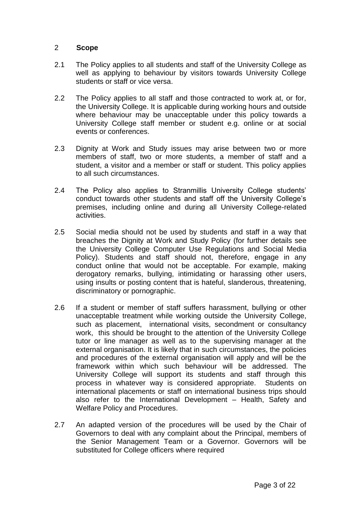#### 2 **Scope**

- 2.1 The Policy applies to all students and staff of the University College as well as applying to behaviour by visitors towards University College students or staff or vice versa.
- 2.2 The Policy applies to all staff and those contracted to work at, or for, the University College. It is applicable during working hours and outside where behaviour may be unacceptable under this policy towards a University College staff member or student e.g. online or at social events or conferences.
- 2.3 Dignity at Work and Study issues may arise between two or more members of staff, two or more students, a member of staff and a student, a visitor and a member or staff or student. This policy applies to all such circumstances.
- 2.4 The Policy also applies to Stranmillis University College students' conduct towards other students and staff off the University College's premises, including online and during all University College-related activities.
- 2.5 Social media should not be used by students and staff in a way that breaches the Dignity at Work and Study Policy (for further details see the University College Computer Use Regulations and Social Media Policy). Students and staff should not, therefore, engage in any conduct online that would not be acceptable. For example, making derogatory remarks, bullying, intimidating or harassing other users, using insults or posting content that is hateful, slanderous, threatening, discriminatory or pornographic.
- 2.6 If a student or member of staff suffers harassment, bullying or other unacceptable treatment while working outside the University College, such as placement, international visits, secondment or consultancy work, this should be brought to the attention of the University College tutor or line manager as well as to the supervising manager at the external organisation. It is likely that in such circumstances, the policies and procedures of the external organisation will apply and will be the framework within which such behaviour will be addressed. The University College will support its students and staff through this process in whatever way is considered appropriate. Students on international placements or staff on international business trips should also refer to the International Development – Health, Safety and Welfare Policy and Procedures.
- 2.7 An adapted version of the procedures will be used by the Chair of Governors to deal with any complaint about the Principal, members of the Senior Management Team or a Governor. Governors will be substituted for College officers where required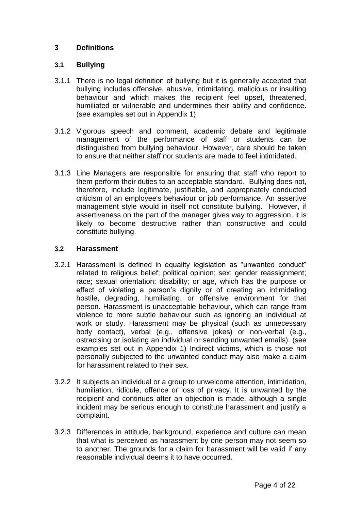## **3 Definitions**

## **3.1 Bullying**

- 3.1.1 There is no legal definition of bullying but it is generally accepted that bullying includes offensive, abusive, intimidating, malicious or insulting behaviour and which makes the recipient feel upset, threatened, humiliated or vulnerable and undermines their ability and confidence. (see examples set out in Appendix 1)
- 3.1.2 Vigorous speech and comment, academic debate and legitimate management of the performance of staff or students can be distinguished from bullying behaviour. However, care should be taken to ensure that neither staff nor students are made to feel intimidated.
- 3.1.3 Line Managers are responsible for ensuring that staff who report to them perform their duties to an acceptable standard. Bullying does not, therefore, include legitimate, justifiable, and appropriately conducted criticism of an employee's behaviour or job performance. An assertive management style would in itself not constitute bullying. However, if assertiveness on the part of the manager gives way to aggression, it is likely to become destructive rather than constructive and could constitute bullying.

## **3.2 Harassment**

- 3.2.1 Harassment is defined in equality legislation as "unwanted conduct" related to religious belief; political opinion; sex; gender reassignment; race; sexual orientation; disability; or age, which has the purpose or effect of violating a person's dignity or of creating an intimidating hostile, degrading, humiliating, or offensive environment for that person. Harassment is unacceptable behaviour, which can range from violence to more subtle behaviour such as ignoring an individual at work or study. Harassment may be physical (such as unnecessary body contact), verbal (e.g., offensive jokes) or non-verbal (e.g., ostracising or isolating an individual or sending unwanted emails). (see examples set out in Appendix 1) Indirect victims, which is those not personally subjected to the unwanted conduct may also make a claim for harassment related to their sex.
- 3.2.2 It subjects an individual or a group to unwelcome attention, intimidation, humiliation, ridicule, offence or loss of privacy. It is unwanted by the recipient and continues after an objection is made, although a single incident may be serious enough to constitute harassment and justify a complaint.
- 3.2.3 Differences in attitude, background, experience and culture can mean that what is perceived as harassment by one person may not seem so to another. The grounds for a claim for harassment will be valid if any reasonable individual deems it to have occurred.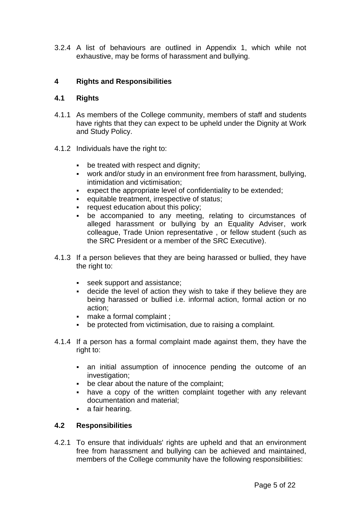3.2.4 A list of behaviours are outlined in Appendix 1, which while not exhaustive, may be forms of harassment and bullying.

### **4 Rights and Responsibilities**

#### **4.1 Rights**

- 4.1.1 As members of the College community, members of staff and students have rights that they can expect to be upheld under the Dignity at Work and Study Policy.
- 4.1.2 Individuals have the right to:
	- be treated with respect and dignity;
	- work and/or study in an environment free from harassment, bullying, intimidation and victimisation;
	- expect the appropriate level of confidentiality to be extended;
	- equitable treatment, irrespective of status;
	- **Figure 1** request education about this policy;
	- be accompanied to any meeting, relating to circumstances of alleged harassment or bullying by an Equality Adviser, work colleague, Trade Union representative , or fellow student (such as the SRC President or a member of the SRC Executive).
- 4.1.3 If a person believes that they are being harassed or bullied, they have the right to:
	- seek support and assistance;
	- decide the level of action they wish to take if they believe they are being harassed or bullied i.e. informal action, formal action or no action;
	- make a formal complaint ;
	- be protected from victimisation, due to raising a complaint.
- 4.1.4 If a person has a formal complaint made against them, they have the right to:
	- an initial assumption of innocence pending the outcome of an investigation:
	- be clear about the nature of the complaint;
	- have a copy of the written complaint together with any relevant documentation and material;
	- **a** fair hearing.

## **4.2 Responsibilities**

4.2.1 To ensure that individuals' rights are upheld and that an environment free from harassment and bullying can be achieved and maintained, members of the College community have the following responsibilities: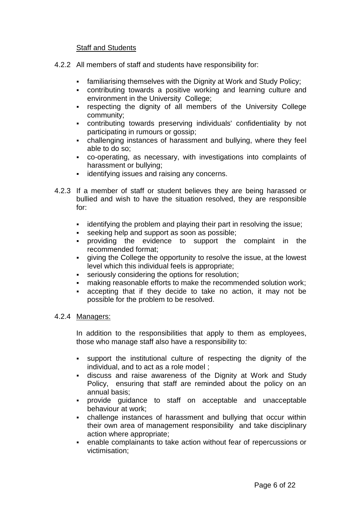#### Staff and Students

- 4.2.2 All members of staff and students have responsibility for:
	- familiarising themselves with the Dignity at Work and Study Policy;
	- contributing towards a positive working and learning culture and environment in the University College;
	- respecting the dignity of all members of the University College community;
	- contributing towards preserving individuals' confidentiality by not participating in rumours or gossip;
	- challenging instances of harassment and bullying, where they feel able to do so;
	- co-operating, as necessary, with investigations into complaints of harassment or bullying;
	- **identifying issues and raising any concerns.**
- 4.2.3 If a member of staff or student believes they are being harassed or bullied and wish to have the situation resolved, they are responsible for:
	- **EXED** identifying the problem and playing their part in resolving the issue;
	- seeking help and support as soon as possible;
	- providing the evidence to support the complaint in the recommended format;
	- giving the College the opportunity to resolve the issue, at the lowest level which this individual feels is appropriate;
	- seriously considering the options for resolution;
	- making reasonable efforts to make the recommended solution work;
	- accepting that if they decide to take no action, it may not be possible for the problem to be resolved.

#### 4.2.4 Managers:

In addition to the responsibilities that apply to them as employees, those who manage staff also have a responsibility to:

- support the institutional culture of respecting the dignity of the individual, and to act as a role model ;
- discuss and raise awareness of the Dignity at Work and Study Policy, ensuring that staff are reminded about the policy on an annual basis;
- provide guidance to staff on acceptable and unacceptable behaviour at work;
- challenge instances of harassment and bullying that occur within their own area of management responsibility and take disciplinary action where appropriate;
- enable complainants to take action without fear of repercussions or victimisation;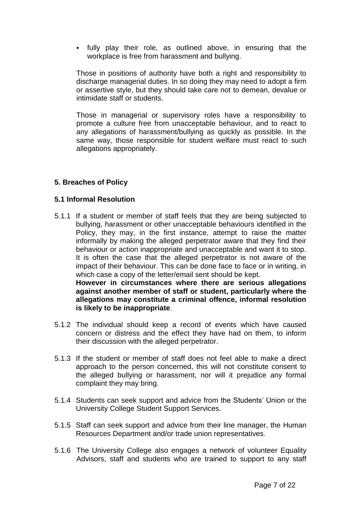fully play their role, as outlined above, in ensuring that the workplace is free from harassment and bullying.

Those in positions of authority have both a right and responsibility to discharge managerial duties. In so doing they may need to adopt a firm or assertive style, but they should take care not to demean, devalue or intimidate staff or students.

Those in managerial or supervisory roles have a responsibility to promote a culture free from unacceptable behaviour, and to react to any allegations of harassment/bullying as quickly as possible. In the same way, those responsible for student welfare must react to such allegations appropriately.

#### **5. Breaches of Policy**

#### **5.1 Informal Resolution**

**is likely to be inappropriate**.

5.1.1 If a student or member of staff feels that they are being subjected to bullying, harassment or other unacceptable behaviours identified in the Policy, they may, in the first instance, attempt to raise the matter informally by making the alleged perpetrator aware that they find their behaviour or action inappropriate and unacceptable and want it to stop. It is often the case that the alleged perpetrator is not aware of the impact of their behaviour. This can be done face to face or in writing, in which case a copy of the letter/email sent should be kept. **However in circumstances where there are serious allegations against another member of staff or student, particularly where the allegations may constitute a criminal offence, informal resolution** 

5.1.2 The individual should keep a record of events which have caused concern or distress and the effect they have had on them, to inform their discussion with the alleged perpetrator.

- 5.1.3 If the student or member of staff does not feel able to make a direct approach to the person concerned, this will not constitute consent to the alleged bullying or harassment, nor will it prejudice any formal complaint they may bring.
- 5.1.4 Students can seek support and advice from the Students' Union or the University College Student Support Services.
- 5.1.5 Staff can seek support and advice from their line manager, the Human Resources Department and/or trade union representatives.
- 5.1.6 The University College also engages a network of volunteer Equality Advisors, staff and students who are trained to support to any staff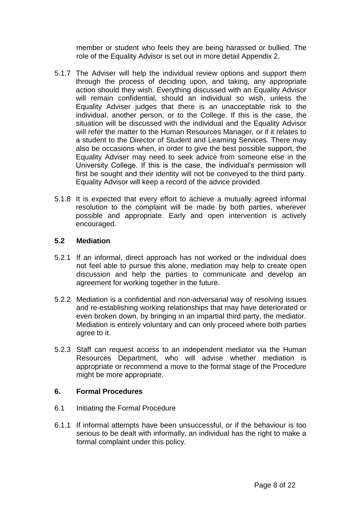member or student who feels they are being harassed or bullied. The role of the Equality Advisor is set out in more detail Appendix 2.

- 5.1.7 The Adviser will help the individual review options and support them through the process of deciding upon, and taking, any appropriate action should they wish. Everything discussed with an Equality Advisor will remain confidential, should an individual so wish, unless the Equality Adviser judges that there is an unacceptable risk to the individual, another person, or to the College. If this is the case, the situation will be discussed with the individual and the Equality Advisor will refer the matter to the Human Resources Manager, or if it relates to a student to the Director of Student and Learning Services. There may also be occasions when, in order to give the best possible support, the Equality Adviser may need to seek advice from someone else in the University College. If this is the case, the individual's permission will first be sought and their identity will not be conveyed to the third party. Equality Advisor will keep a record of the advice provided.
- 5.1.8 It is expected that every effort to achieve a mutually agreed informal resolution to the complaint will be made by both parties, wherever possible and appropriate. Early and open intervention is actively encouraged.

#### **5.2 Mediation**

- 5.2.1 If an informal, direct approach has not worked or the individual does not feel able to pursue this alone, mediation may help to create open discussion and help the parties to communicate and develop an agreement for working together in the future.
- 5.2.2 Mediation is a confidential and non-adversarial way of resolving issues and re-establishing working relationships that may have deteriorated or even broken down, by bringing in an impartial third party, the mediator. Mediation is entirely voluntary and can only proceed where both parties agree to it.
- 5.2.3 Staff can request access to an independent mediator via the Human Resources Department, who will advise whether mediation is appropriate or recommend a move to the formal stage of the Procedure might be more appropriate.

#### **6. Formal Procedures**

- 6.1 Initiating the Formal Procedure
- 6.1.1 If informal attempts have been unsuccessful, or if the behaviour is too serious to be dealt with informally, an individual has the right to make a formal complaint under this policy.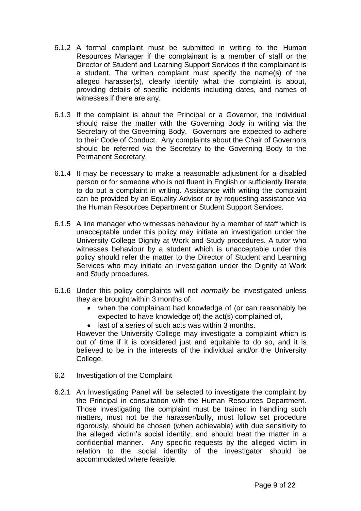- 6.1.2 A formal complaint must be submitted in writing to the Human Resources Manager if the complainant is a member of staff or the Director of Student and Learning Support Services if the complainant is a student. The written complaint must specify the name(s) of the alleged harasser(s), clearly identify what the complaint is about, providing details of specific incidents including dates, and names of witnesses if there are any.
- 6.1.3 If the complaint is about the Principal or a Governor, the individual should raise the matter with the Governing Body in writing via the Secretary of the Governing Body. Governors are expected to adhere to their Code of Conduct. Any complaints about the Chair of Governors should be referred via the Secretary to the Governing Body to the Permanent Secretary.
- 6.1.4 It may be necessary to make a reasonable adjustment for a disabled person or for someone who is not fluent in English or sufficiently literate to do put a complaint in writing. Assistance with writing the complaint can be provided by an Equality Advisor or by requesting assistance via the Human Resources Department or Student Support Services.
- 6.1.5 A line manager who witnesses behaviour by a member of staff which is unacceptable under this policy may initiate an investigation under the University College Dignity at Work and Study procedures. A tutor who witnesses behaviour by a student which is unacceptable under this policy should refer the matter to the Director of Student and Learning Services who may initiate an investigation under the Dignity at Work and Study procedures.
- 6.1.6 Under this policy complaints will not *normally* be investigated unless they are brought within 3 months of:
	- when the complainant had knowledge of (or can reasonably be expected to have knowledge of) the act(s) complained of,
	- last of a series of such acts was within 3 months.

However the University College may investigate a complaint which is out of time if it is considered just and equitable to do so, and it is believed to be in the interests of the individual and/or the University College.

- 6.2 Investigation of the Complaint
- 6.2.1 An Investigating Panel will be selected to investigate the complaint by the Principal in consultation with the Human Resources Department. Those investigating the complaint must be trained in handling such matters, must not be the harasser/bully, must follow set procedure rigorously, should be chosen (when achievable) with due sensitivity to the alleged victim's social identity, and should treat the matter in a confidential manner. Any specific requests by the alleged victim in relation to the social identity of the investigator should be accommodated where feasible.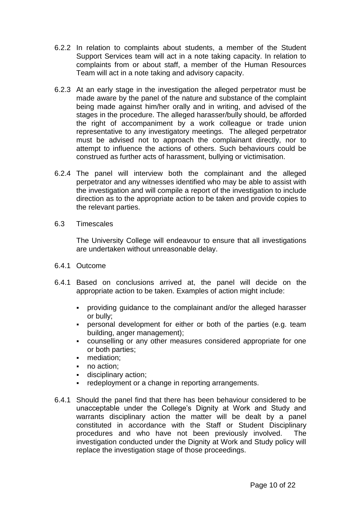- 6.2.2 In relation to complaints about students, a member of the Student Support Services team will act in a note taking capacity. In relation to complaints from or about staff, a member of the Human Resources Team will act in a note taking and advisory capacity.
- 6.2.3 At an early stage in the investigation the alleged perpetrator must be made aware by the panel of the nature and substance of the complaint being made against him/her orally and in writing, and advised of the stages in the procedure. The alleged harasser/bully should, be afforded the right of accompaniment by a work colleague or trade union representative to any investigatory meetings. The alleged perpetrator must be advised not to approach the complainant directly, nor to attempt to influence the actions of others. Such behaviours could be construed as further acts of harassment, bullying or victimisation.
- 6.2.4 The panel will interview both the complainant and the alleged perpetrator and any witnesses identified who may be able to assist with the investigation and will compile a report of the investigation to include direction as to the appropriate action to be taken and provide copies to the relevant parties.
- 6.3 Timescales

The University College will endeavour to ensure that all investigations are undertaken without unreasonable delay.

- 6.4.1 Outcome
- 6.4.1 Based on conclusions arrived at, the panel will decide on the appropriate action to be taken. Examples of action might include:
	- providing guidance to the complainant and/or the alleged harasser or bully;
	- personal development for either or both of the parties (e.g. team building, anger management);
	- counselling or any other measures considered appropriate for one or both parties;
	- **nediation**:
	- no action:
	- disciplinary action;
	- redeployment or a change in reporting arrangements.
- 6.4.1 Should the panel find that there has been behaviour considered to be unacceptable under the College's Dignity at Work and Study and warrants disciplinary action the matter will be dealt by a panel constituted in accordance with the Staff or Student Disciplinary procedures and who have not been previously involved. The investigation conducted under the Dignity at Work and Study policy will replace the investigation stage of those proceedings.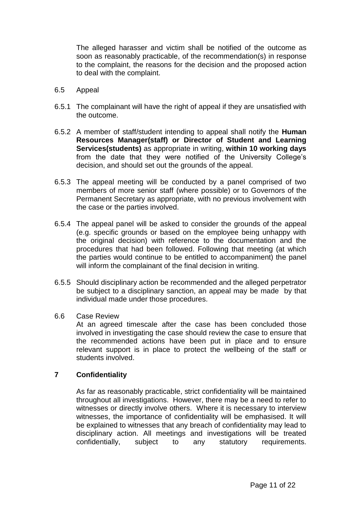The alleged harasser and victim shall be notified of the outcome as soon as reasonably practicable, of the recommendation(s) in response to the complaint, the reasons for the decision and the proposed action to deal with the complaint.

- 6.5 Appeal
- 6.5.1 The complainant will have the right of appeal if they are unsatisfied with the outcome.
- 6.5.2 A member of staff/student intending to appeal shall notify the **Human Resources Manager(staff) or Director of Student and Learning Services(students)** as appropriate in writing, **within 10 working days** from the date that they were notified of the University College's decision, and should set out the grounds of the appeal.
- 6.5.3 The appeal meeting will be conducted by a panel comprised of two members of more senior staff (where possible) or to Governors of the Permanent Secretary as appropriate, with no previous involvement with the case or the parties involved.
- 6.5.4 The appeal panel will be asked to consider the grounds of the appeal (e.g. specific grounds or based on the employee being unhappy with the original decision) with reference to the documentation and the procedures that had been followed. Following that meeting (at which the parties would continue to be entitled to accompaniment) the panel will inform the complainant of the final decision in writing.
- 6.5.5 Should disciplinary action be recommended and the alleged perpetrator be subject to a disciplinary sanction, an appeal may be made by that individual made under those procedures.
- 6.6 Case Review

At an agreed timescale after the case has been concluded those involved in investigating the case should review the case to ensure that the recommended actions have been put in place and to ensure relevant support is in place to protect the wellbeing of the staff or students involved.

#### **7 Confidentiality**

As far as reasonably practicable, strict confidentiality will be maintained throughout all investigations. However, there may be a need to refer to witnesses or directly involve others. Where it is necessary to interview witnesses, the importance of confidentiality will be emphasised. It will be explained to witnesses that any breach of confidentiality may lead to disciplinary action. All meetings and investigations will be treated confidentially, subject to any statutory requirements.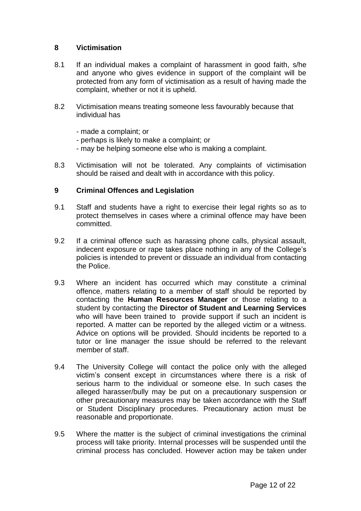#### **8 Victimisation**

- 8.1 If an individual makes a complaint of harassment in good faith, s/he and anyone who gives evidence in support of the complaint will be protected from any form of victimisation as a result of having made the complaint, whether or not it is upheld.
- 8.2 Victimisation means treating someone less favourably because that individual has
	- made a complaint; or
	- perhaps is likely to make a complaint; or
	- may be helping someone else who is making a complaint.
- 8.3 Victimisation will not be tolerated. Any complaints of victimisation should be raised and dealt with in accordance with this policy.

#### **9 Criminal Offences and Legislation**

- 9.1 Staff and students have a right to exercise their legal rights so as to protect themselves in cases where a criminal offence may have been committed.
- 9.2 If a criminal offence such as harassing phone calls, physical assault, indecent exposure or rape takes place nothing in any of the College's policies is intended to prevent or dissuade an individual from contacting the Police.
- 9.3 Where an incident has occurred which may constitute a criminal offence, matters relating to a member of staff should be reported by contacting the **Human Resources Manager** or those relating to a student by contacting the **Director of Student and Learning Services**  who will have been trained to provide support if such an incident is reported. A matter can be reported by the alleged victim or a witness. Advice on options will be provided. Should incidents be reported to a tutor or line manager the issue should be referred to the relevant member of staff.
- 9.4 The University College will contact the police only with the alleged victim's consent except in circumstances where there is a risk of serious harm to the individual or someone else. In such cases the alleged harasser/bully may be put on a precautionary suspension or other precautionary measures may be taken accordance with the Staff or Student Disciplinary procedures. Precautionary action must be reasonable and proportionate.
- 9.5 Where the matter is the subject of criminal investigations the criminal process will take priority. Internal processes will be suspended until the criminal process has concluded. However action may be taken under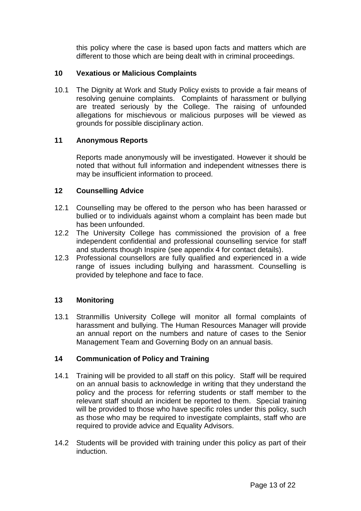this policy where the case is based upon facts and matters which are different to those which are being dealt with in criminal proceedings.

### **10 Vexatious or Malicious Complaints**

10.1 The Dignity at Work and Study Policy exists to provide a fair means of resolving genuine complaints. Complaints of harassment or bullying are treated seriously by the College. The raising of unfounded allegations for mischievous or malicious purposes will be viewed as grounds for possible disciplinary action.

#### **11 Anonymous Reports**

Reports made anonymously will be investigated. However it should be noted that without full information and independent witnesses there is may be insufficient information to proceed.

#### **12 Counselling Advice**

- 12.1 Counselling may be offered to the person who has been harassed or bullied or to individuals against whom a complaint has been made but has been unfounded.
- 12.2 The University College has commissioned the provision of a free independent confidential and professional counselling service for staff and students though Inspire (see appendix 4 for contact details).
- 12.3 Professional counsellors are fully qualified and experienced in a wide range of issues including bullying and harassment. Counselling is provided by telephone and face to face.

## **13 Monitoring**

13.1 Stranmillis University College will monitor all formal complaints of harassment and bullying. The Human Resources Manager will provide an annual report on the numbers and nature of cases to the Senior Management Team and Governing Body on an annual basis.

## **14 Communication of Policy and Training**

- 14.1 Training will be provided to all staff on this policy. Staff will be required on an annual basis to acknowledge in writing that they understand the policy and the process for referring students or staff member to the relevant staff should an incident be reported to them. Special training will be provided to those who have specific roles under this policy, such as those who may be required to investigate complaints, staff who are required to provide advice and Equality Advisors.
- 14.2 Students will be provided with training under this policy as part of their induction.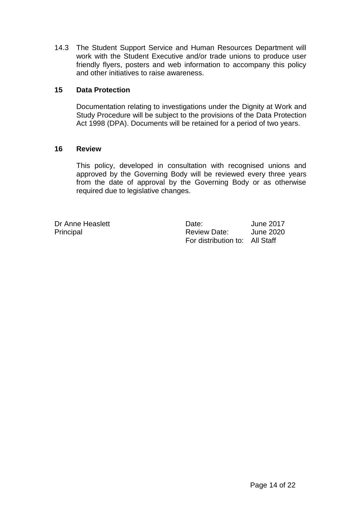14.3 The Student Support Service and Human Resources Department will work with the Student Executive and/or trade unions to produce user friendly flyers, posters and web information to accompany this policy and other initiatives to raise awareness.

#### **15 Data Protection**

Documentation relating to investigations under the Dignity at Work and Study Procedure will be subject to the provisions of the Data Protection Act 1998 (DPA). Documents will be retained for a period of two years.

#### **16 Review**

This policy, developed in consultation with recognised unions and approved by the Governing Body will be reviewed every three years from the date of approval by the Governing Body or as otherwise required due to legislative changes.

Dr Anne Heaslett Date: June 2017 Principal **Principal** Review Date: June 2020 For distribution to: All Staff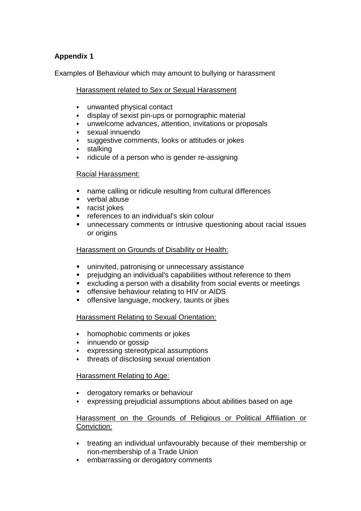## **Appendix 1**

Examples of Behaviour which may amount to bullying or harassment

Harassment related to Sex or Sexual Harassment

- unwanted physical contact
- display of sexist pin-ups or pornographic material
- unwelcome advances, attention, invitations or proposals
- sexual innuendo
- suggestive comments, looks or attitudes or jokes
- **stalking**
- ridicule of a person who is gender re-assigning

#### Racial Harassment:

- name calling or ridicule resulting from cultural differences
- verbal abuse
- racist jokes
- **F** references to an individual's skin colour
- unnecessary comments or intrusive questioning about racial issues or origins

#### Harassment on Grounds of Disability or Health:

- **uninvited, patronising or unnecessary assistance**
- prejudging an individual's capabilities without reference to them
- excluding a person with a disability from social events or meetings
- **•** offensive behaviour relating to HIV or AIDS
- offensive language, mockery, taunts or jibes

## Harassment Relating to Sexual Orientation:

- homophobic comments or jokes
- innuendo or gossip
- expressing stereotypical assumptions
- **threats of disclosing sexual orientation**

## Harassment Relating to Age:

- derogatory remarks or behaviour
- expressing prejudicial assumptions about abilities based on age

#### Harassment on the Grounds of Religious or Political Affiliation or Conviction:

- treating an individual unfavourably because of their membership or non-membership of a Trade Union
- **EXECUTE:** embarrassing or derogatory comments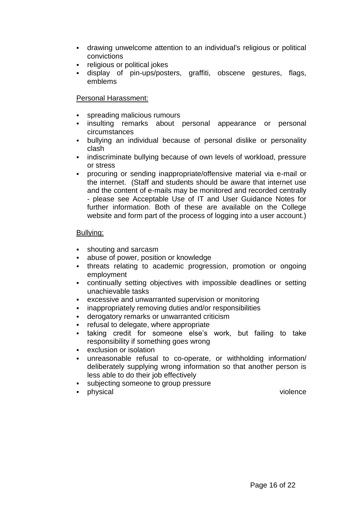- drawing unwelcome attention to an individual's religious or political convictions
- religious or political jokes
- display of pin-ups/posters, graffiti, obscene gestures, flags, emblems

## Personal Harassment:

- spreading malicious rumours
- insulting remarks about personal appearance or personal circumstances
- bullying an individual because of personal dislike or personality clash
- **EXEDEE IN A** indiscriminate bullying because of own levels of workload, pressure or stress
- procuring or sending inappropriate/offensive material via e-mail or the internet. (Staff and students should be aware that internet use and the content of e-mails may be monitored and recorded centrally - please see Acceptable Use of IT and User Guidance Notes for further information. Both of these are available on the College website and form part of the process of logging into a user account.)

#### Bullying:

- **shouting and sarcasm**
- abuse of power, position or knowledge
- **threats relating to academic progression, promotion or ongoing** employment
- continually setting objectives with impossible deadlines or setting unachievable tasks
- excessive and unwarranted supervision or monitoring
- inappropriately removing duties and/or responsibilities
- derogatory remarks or unwarranted criticism
- **Fig. 2** refusal to delegate, where appropriate
- taking credit for someone else's work, but failing to take responsibility if something goes wrong
- exclusion or isolation
- unreasonable refusal to co-operate, or withholding information/ deliberately supplying wrong information so that another person is less able to do their job effectively
- subjecting someone to group pressure
- physical violence violence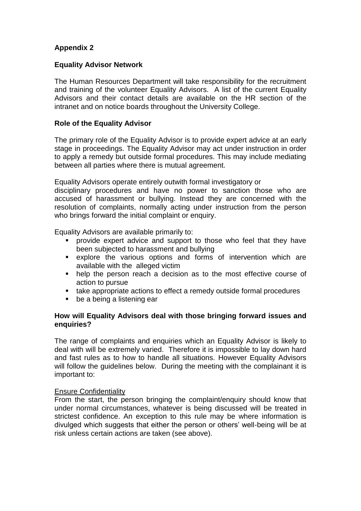## **Appendix 2**

#### **Equality Advisor Network**

The Human Resources Department will take responsibility for the recruitment and training of the volunteer Equality Advisors. A list of the current Equality Advisors and their contact details are available on the HR section of the intranet and on notice boards throughout the University College.

#### **Role of the Equality Advisor**

The primary role of the Equality Advisor is to provide expert advice at an early stage in proceedings. The Equality Advisor may act under instruction in order to apply a remedy but outside formal procedures. This may include mediating between all parties where there is mutual agreement.

Equality Advisors operate entirely outwith formal investigatory or

disciplinary procedures and have no power to sanction those who are accused of harassment or bullying. Instead they are concerned with the resolution of complaints, normally acting under instruction from the person who brings forward the initial complaint or enquiry.

Equality Advisors are available primarily to:

- provide expert advice and support to those who feel that they have been subjected to harassment and bullying
- explore the various options and forms of intervention which are available with the alleged victim
- help the person reach a decision as to the most effective course of action to pursue
- take appropriate actions to effect a remedy outside formal procedures
- be a being a listening ear

#### **How will Equality Advisors deal with those bringing forward issues and enquiries?**

The range of complaints and enquiries which an Equality Advisor is likely to deal with will be extremely varied. Therefore it is impossible to lay down hard and fast rules as to how to handle all situations. However Equality Advisors will follow the guidelines below. During the meeting with the complainant it is important to:

#### Ensure Confidentiality

From the start, the person bringing the complaint/enquiry should know that under normal circumstances, whatever is being discussed will be treated in strictest confidence. An exception to this rule may be where information is divulged which suggests that either the person or others' well-being will be at risk unless certain actions are taken (see above).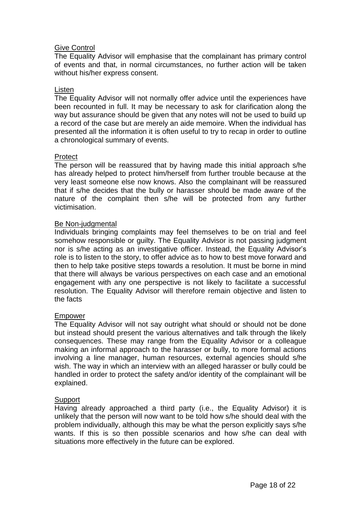#### Give Control

The Equality Advisor will emphasise that the complainant has primary control of events and that, in normal circumstances, no further action will be taken without his/her express consent.

#### Listen

The Equality Advisor will not normally offer advice until the experiences have been recounted in full. It may be necessary to ask for clarification along the way but assurance should be given that any notes will not be used to build up a record of the case but are merely an aide memoire. When the individual has presented all the information it is often useful to try to recap in order to outline a chronological summary of events.

#### Protect

The person will be reassured that by having made this initial approach s/he has already helped to protect him/herself from further trouble because at the very least someone else now knows. Also the complainant will be reassured that if s/he decides that the bully or harasser should be made aware of the nature of the complaint then s/he will be protected from any further victimisation.

#### Be Non-judgmental

Individuals bringing complaints may feel themselves to be on trial and feel somehow responsible or guilty. The Equality Advisor is not passing judgment nor is s/he acting as an investigative officer. Instead, the Equality Advisor's role is to listen to the story, to offer advice as to how to best move forward and then to help take positive steps towards a resolution. It must be borne in mind that there will always be various perspectives on each case and an emotional engagement with any one perspective is not likely to facilitate a successful resolution. The Equality Advisor will therefore remain objective and listen to the facts

#### Empower

The Equality Advisor will not say outright what should or should not be done but instead should present the various alternatives and talk through the likely consequences. These may range from the Equality Advisor or a colleague making an informal approach to the harasser or bully, to more formal actions involving a line manager, human resources, external agencies should s/he wish. The way in which an interview with an alleged harasser or bully could be handled in order to protect the safety and/or identity of the complainant will be explained.

#### **Support**

Having already approached a third party (i.e., the Equality Advisor) it is unlikely that the person will now want to be told how s/he should deal with the problem individually, although this may be what the person explicitly says s/he wants. If this is so then possible scenarios and how s/he can deal with situations more effectively in the future can be explored.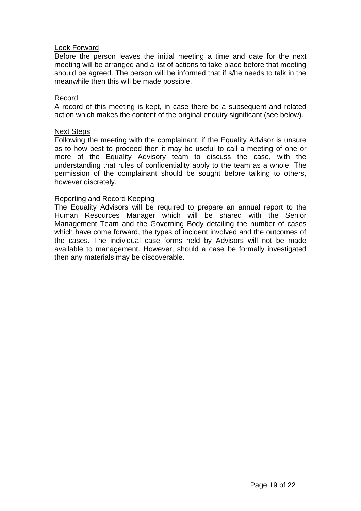#### Look Forward

Before the person leaves the initial meeting a time and date for the next meeting will be arranged and a list of actions to take place before that meeting should be agreed. The person will be informed that if s/he needs to talk in the meanwhile then this will be made possible.

#### Record

A record of this meeting is kept, in case there be a subsequent and related action which makes the content of the original enquiry significant (see below).

#### Next Steps

Following the meeting with the complainant, if the Equality Advisor is unsure as to how best to proceed then it may be useful to call a meeting of one or more of the Equality Advisory team to discuss the case, with the understanding that rules of confidentiality apply to the team as a whole. The permission of the complainant should be sought before talking to others, however discretely.

#### Reporting and Record Keeping

The Equality Advisors will be required to prepare an annual report to the Human Resources Manager which will be shared with the Senior Management Team and the Governing Body detailing the number of cases which have come forward, the types of incident involved and the outcomes of the cases. The individual case forms held by Advisors will not be made available to management. However, should a case be formally investigated then any materials may be discoverable.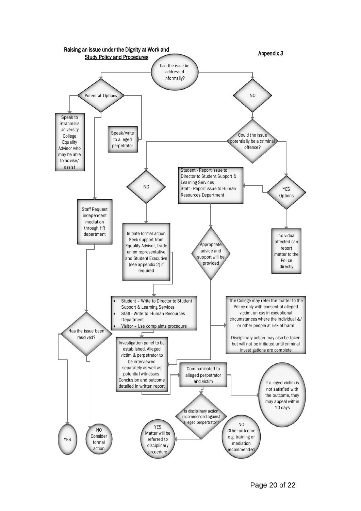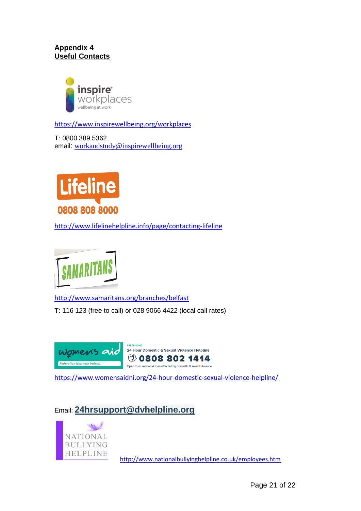## **Appendix 4 Useful Contacts**



<https://www.inspirewellbeing.org/workplaces>

T: 0800 389 5362 email: [workandstudy@inspirewellbeing.org](mailto:workandstudy@inspirewellbeing.org)



<http://www.lifelinehelpline.info/page/contacting-lifeline>



<http://www.samaritans.org/branches/belfast>

T: 116 123 (free to call) or 028 9066 4422 (local call rates)



<https://www.womensaidni.org/24-hour-domestic-sexual-violence-helpline/>

## Email: **[24hrsupport@dvhelpline.org](mailto:24hrsupport@dvhelpline.org)**



<http://www.nationalbullyinghelpline.co.uk/employees.htm>